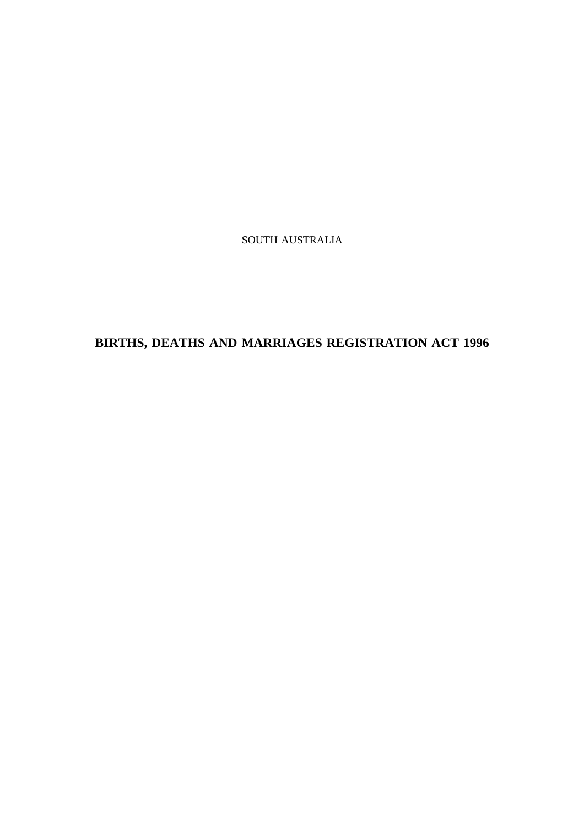SOUTH AUSTRALIA

**BIRTHS, DEATHS AND MARRIAGES REGISTRATION ACT 1996**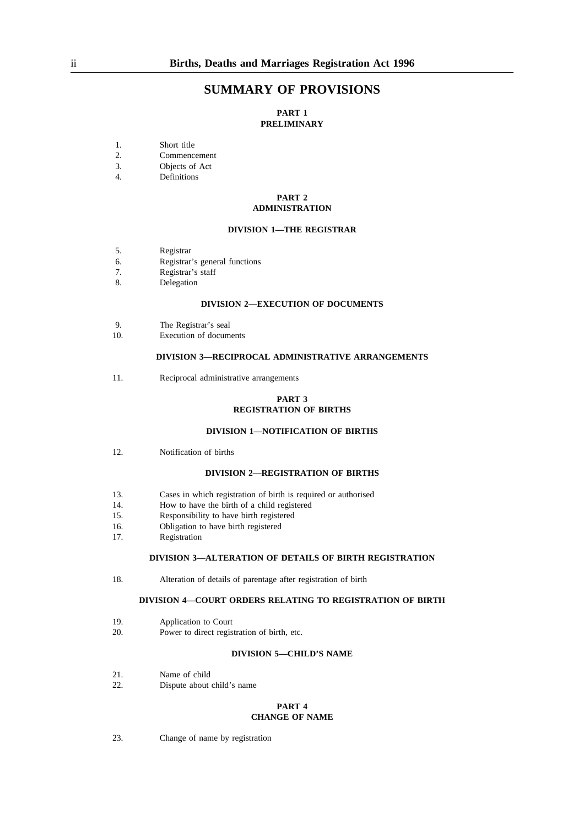## **SUMMARY OF PROVISIONS**

### **PART 1 PRELIMINARY**

- 1. Short title<br>2. Commenc
- 2. Commencement<br>3. Objects of Act
- 3. Objects of Act<br>4. Definitions
- Definitions

#### **PART 2 ADMINISTRATION**

### **DIVISION 1—THE REGISTRAR**

- 5. Registrar
- 6. Registrar's general functions
- 7. Registrar's staff
- 8. Delegation

#### **DIVISION 2—EXECUTION OF DOCUMENTS**

- 9. The Registrar's seal
- 10. Execution of documents

### **DIVISION 3—RECIPROCAL ADMINISTRATIVE ARRANGEMENTS**

11. Reciprocal administrative arrangements

### **PART 3 REGISTRATION OF BIRTHS**

### **DIVISION 1—NOTIFICATION OF BIRTHS**

12. Notification of births

#### **DIVISION 2—REGISTRATION OF BIRTHS**

- 13. Cases in which registration of birth is required or authorised
- 14. How to have the birth of a child registered
- 15. Responsibility to have birth registered
- 16. Obligation to have birth registered
- 17. Registration

### **DIVISION 3—ALTERATION OF DETAILS OF BIRTH REGISTRATION**

18. Alteration of details of parentage after registration of birth

### **DIVISION 4—COURT ORDERS RELATING TO REGISTRATION OF BIRTH**

- 19. Application to Court
- 20. Power to direct registration of birth, etc.

### **DIVISION 5—CHILD'S NAME**

- 21. Name of child
- 22. Dispute about child's name

# **PART 4**

# **CHANGE OF NAME**

23. Change of name by registration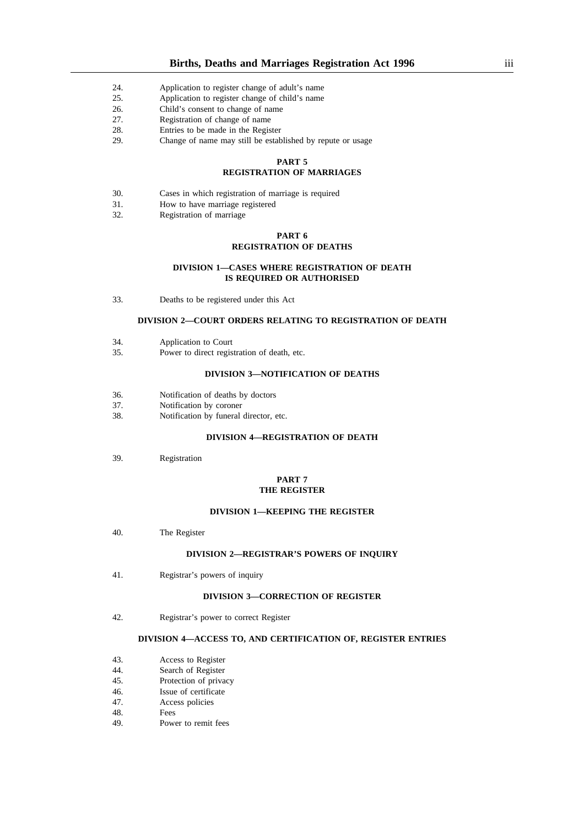- 24. Application to register change of adult's name
- 25. Application to register change of child's name
- 26. Child's consent to change of name
- 27. Registration of change of name
- 28. Entries to be made in the Register
- 29. Change of name may still be established by repute or usage

#### **PART 5**

### **REGISTRATION OF MARRIAGES**

- 30. Cases in which registration of marriage is required
- 31. How to have marriage registered
- 32. Registration of marriage

### **PART 6 REGISTRATION OF DEATHS**

#### **DIVISION 1—CASES WHERE REGISTRATION OF DEATH IS REQUIRED OR AUTHORISED**

33. Deaths to be registered under this Act

### **DIVISION 2—COURT ORDERS RELATING TO REGISTRATION OF DEATH**

- 34. Application to Court
- 35. Power to direct registration of death, etc.

### **DIVISION 3—NOTIFICATION OF DEATHS**

- 36. Notification of deaths by doctors
- 37. Notification by coroner
- 38. Notification by funeral director, etc.

#### **DIVISION 4—REGISTRATION OF DEATH**

39. Registration

### **PART 7 THE REGISTER**

#### **DIVISION 1—KEEPING THE REGISTER**

40. The Register

#### **DIVISION 2—REGISTRAR'S POWERS OF INQUIRY**

41. Registrar's powers of inquiry

#### **DIVISION 3—CORRECTION OF REGISTER**

42. Registrar's power to correct Register

#### **DIVISION 4—ACCESS TO, AND CERTIFICATION OF, REGISTER ENTRIES**

- 43. Access to Register<br>44. Search of Register
- 44. Search of Register<br>45. Protection of priva
- Protection of privacy
- 46. Issue of certificate 47. Access policies
- Access policies
- 48. Fees
- 49. Power to remit fees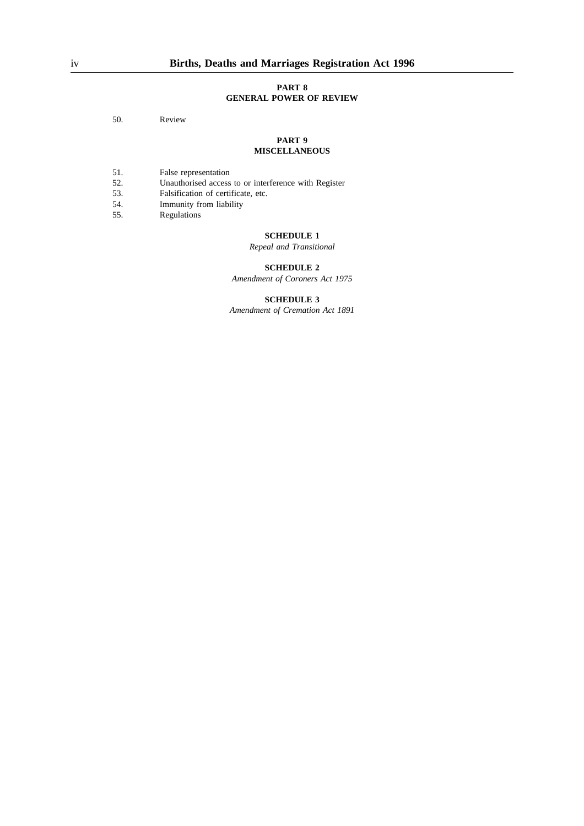#### **PART 8 GENERAL POWER OF REVIEW**

50. Review

#### **PART 9 MISCELLANEOUS**

- 
- 51. False representation<br>52. Unauthorised access 52. Unauthorised access to or interference with Register 53. Falsification of certificate, etc.
- 53. Falsification of certificate, etc.<br>54. Immunity from liability
- Immunity from liability
- 55. Regulations

### **SCHEDULE 1**

*Repeal and Transitional*

## **SCHEDULE 2**

*Amendment of Coroners Act 1975*

## **SCHEDULE 3**

*Amendment of Cremation Act 1891*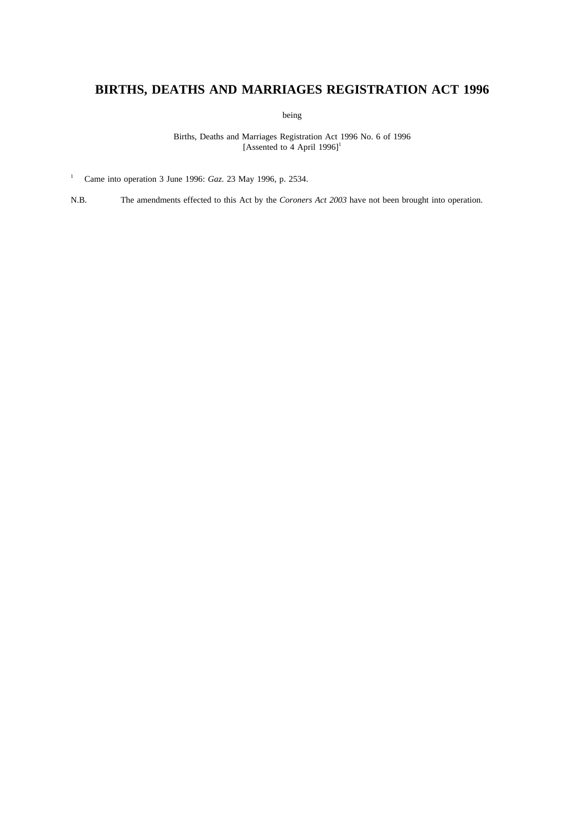# **BIRTHS, DEATHS AND MARRIAGES REGISTRATION ACT 1996**

being

Births, Deaths and Marriages Registration Act 1996 No. 6 of 1996 [Assented to 4 April  $1996$ ]<sup>1</sup>

<sup>1</sup> Came into operation 3 June 1996: *Gaz*. 23 May 1996, p. 2534.

N.B. The amendments effected to this Act by the *Coroners Act 2003* have not been brought into operation.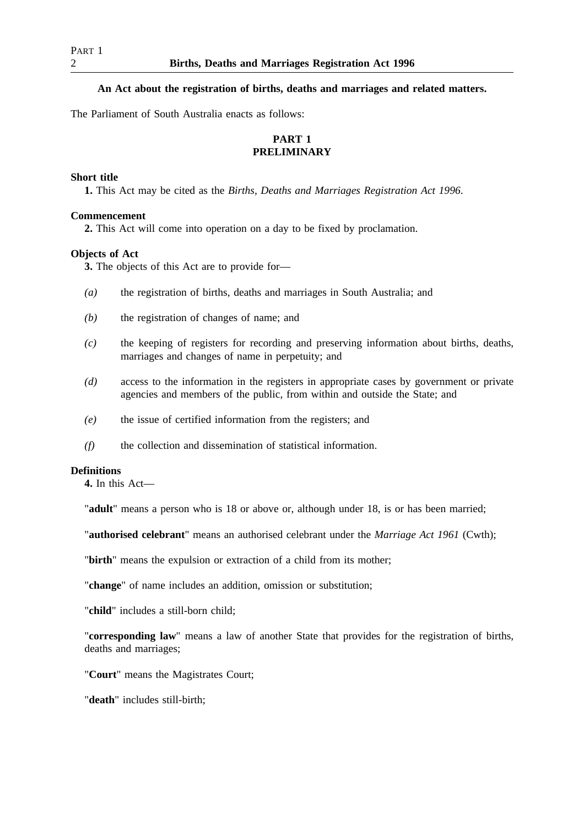## **An Act about the registration of births, deaths and marriages and related matters.**

The Parliament of South Australia enacts as follows:

## **PART 1 PRELIMINARY**

## **Short title**

**1.** This Act may be cited as the *Births, Deaths and Marriages Registration Act 1996*.

## **Commencement**

**2.** This Act will come into operation on a day to be fixed by proclamation.

## **Objects of Act**

**3.** The objects of this Act are to provide for—

- *(a)* the registration of births, deaths and marriages in South Australia; and
- *(b)* the registration of changes of name; and
- *(c)* the keeping of registers for recording and preserving information about births, deaths, marriages and changes of name in perpetuity; and
- *(d)* access to the information in the registers in appropriate cases by government or private agencies and members of the public, from within and outside the State; and
- *(e)* the issue of certified information from the registers; and
- *(f)* the collection and dissemination of statistical information.

## **Definitions**

**4.** In this Act—

"**adult**" means a person who is 18 or above or, although under 18, is or has been married;

"**authorised celebrant**" means an authorised celebrant under the *Marriage Act 1961* (Cwth);

"**birth**" means the expulsion or extraction of a child from its mother;

"**change**" of name includes an addition, omission or substitution;

"**child**" includes a still-born child;

"**corresponding law**" means a law of another State that provides for the registration of births, deaths and marriages;

"**Court**" means the Magistrates Court;

"**death**" includes still-birth;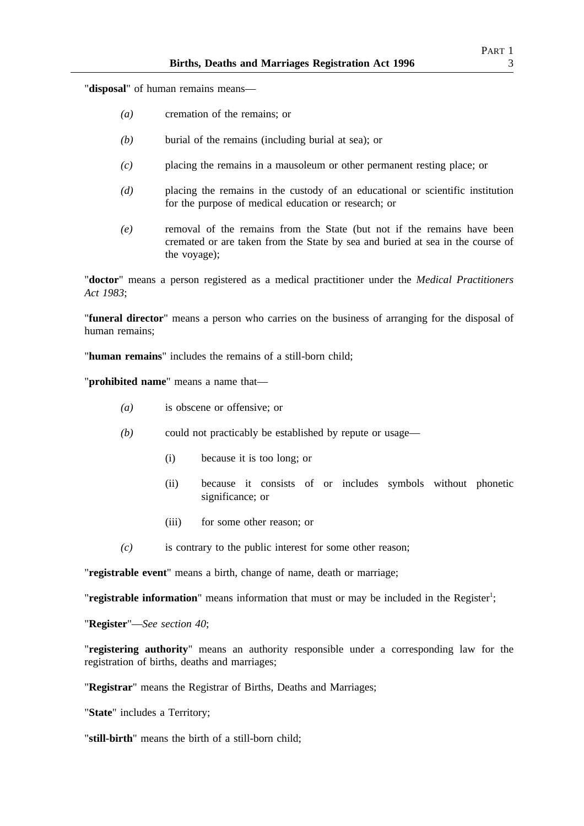"**disposal**" of human remains means—

- *(a)* cremation of the remains; or
- *(b)* burial of the remains (including burial at sea); or
- *(c)* placing the remains in a mausoleum or other permanent resting place; or
- *(d)* placing the remains in the custody of an educational or scientific institution for the purpose of medical education or research; or
- *(e)* removal of the remains from the State (but not if the remains have been cremated or are taken from the State by sea and buried at sea in the course of the voyage);

"**doctor**" means a person registered as a medical practitioner under the *Medical Practitioners Act 1983*;

"**funeral director**" means a person who carries on the business of arranging for the disposal of human remains;

"**human remains**" includes the remains of a still-born child;

"**prohibited name**" means a name that—

- *(a)* is obscene or offensive; or
- *(b)* could not practicably be established by repute or usage—
	- (i) because it is too long; or
	- (ii) because it consists of or includes symbols without phonetic significance; or
	- (iii) for some other reason; or
- *(c)* is contrary to the public interest for some other reason;

"**registrable event**" means a birth, change of name, death or marriage;

"registrable information" means information that must or may be included in the Register<sup>1</sup>;

"**Register**"—*See section 40*;

"**registering authority**" means an authority responsible under a corresponding law for the registration of births, deaths and marriages;

"**Registrar**" means the Registrar of Births, Deaths and Marriages;

"**State**" includes a Territory;

"**still-birth**" means the birth of a still-born child;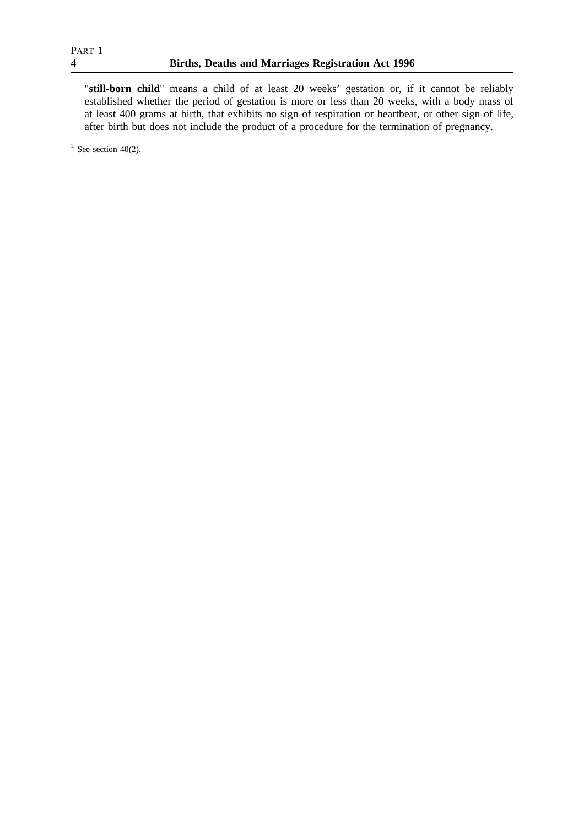"**still-born child**" means a child of at least 20 weeks' gestation or, if it cannot be reliably established whether the period of gestation is more or less than 20 weeks, with a body mass of at least 400 grams at birth, that exhibits no sign of respiration or heartbeat, or other sign of life, after birth but does not include the product of a procedure for the termination of pregnancy.

 $1.$  See section 40(2).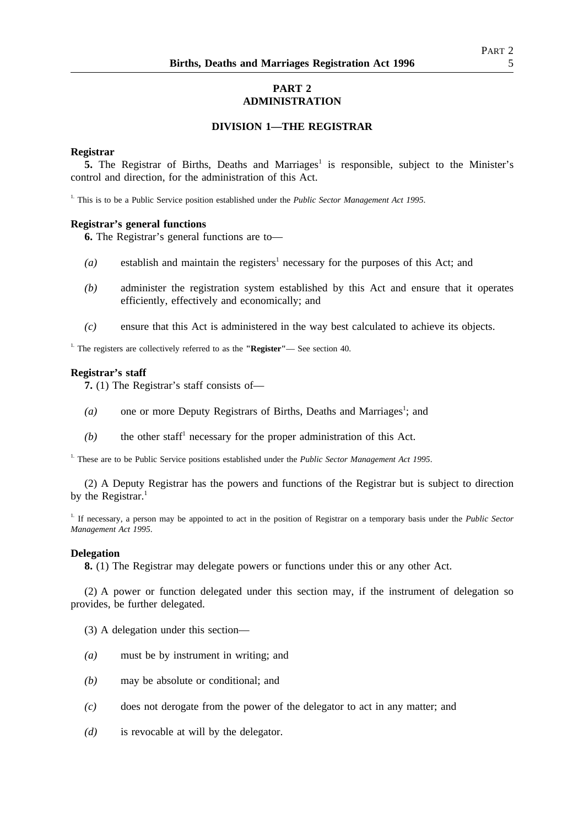# **PART 2 ADMINISTRATION**

## **DIVISION 1—THE REGISTRAR**

## **Registrar**

**5.** The Registrar of Births, Deaths and Marriages<sup>1</sup> is responsible, subject to the Minister's control and direction, for the administration of this Act.

1. This is to be a Public Service position established under the *Public Sector Management Act 1995*.

## **Registrar's general functions**

**6.** The Registrar's general functions are to—

- $(a)$  establish and maintain the registers<sup>1</sup> necessary for the purposes of this Act; and
- *(b)* administer the registration system established by this Act and ensure that it operates efficiently, effectively and economically; and
- *(c)* ensure that this Act is administered in the way best calculated to achieve its objects.

1. The registers are collectively referred to as the **"Register"**— See section 40.

### **Registrar's staff**

**7.** (1) The Registrar's staff consists of—

- (a) one or more Deputy Registrars of Births, Deaths and Marriages<sup>1</sup>; and
- $(b)$  the other staff<sup>1</sup> necessary for the proper administration of this Act.

<sup>1.</sup> These are to be Public Service positions established under the *Public Sector Management Act 1995*.

(2) A Deputy Registrar has the powers and functions of the Registrar but is subject to direction by the Registrar. $<sup>1</sup>$ </sup>

1. If necessary, a person may be appointed to act in the position of Registrar on a temporary basis under the *Public Sector Management Act 1995*.

### **Delegation**

**8.** (1) The Registrar may delegate powers or functions under this or any other Act.

(2) A power or function delegated under this section may, if the instrument of delegation so provides, be further delegated.

(3) A delegation under this section—

- *(a)* must be by instrument in writing; and
- *(b)* may be absolute or conditional; and
- *(c)* does not derogate from the power of the delegator to act in any matter; and
- *(d)* is revocable at will by the delegator.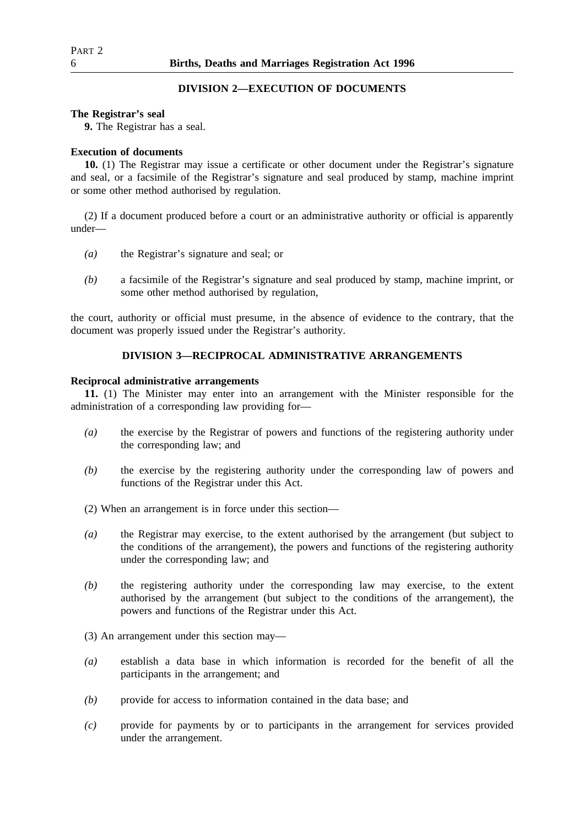## **DIVISION 2—EXECUTION OF DOCUMENTS**

### **The Registrar's seal**

**9.** The Registrar has a seal.

## **Execution of documents**

**10.** (1) The Registrar may issue a certificate or other document under the Registrar's signature and seal, or a facsimile of the Registrar's signature and seal produced by stamp, machine imprint or some other method authorised by regulation.

(2) If a document produced before a court or an administrative authority or official is apparently under—

- *(a)* the Registrar's signature and seal; or
- *(b)* a facsimile of the Registrar's signature and seal produced by stamp, machine imprint, or some other method authorised by regulation,

the court, authority or official must presume, in the absence of evidence to the contrary, that the document was properly issued under the Registrar's authority.

## **DIVISION 3—RECIPROCAL ADMINISTRATIVE ARRANGEMENTS**

## **Reciprocal administrative arrangements**

**11.** (1) The Minister may enter into an arrangement with the Minister responsible for the administration of a corresponding law providing for—

- *(a)* the exercise by the Registrar of powers and functions of the registering authority under the corresponding law; and
- *(b)* the exercise by the registering authority under the corresponding law of powers and functions of the Registrar under this Act.

(2) When an arrangement is in force under this section—

- *(a)* the Registrar may exercise, to the extent authorised by the arrangement (but subject to the conditions of the arrangement), the powers and functions of the registering authority under the corresponding law; and
- *(b)* the registering authority under the corresponding law may exercise, to the extent authorised by the arrangement (but subject to the conditions of the arrangement), the powers and functions of the Registrar under this Act.

(3) An arrangement under this section may—

- *(a)* establish a data base in which information is recorded for the benefit of all the participants in the arrangement; and
- *(b)* provide for access to information contained in the data base; and
- *(c)* provide for payments by or to participants in the arrangement for services provided under the arrangement.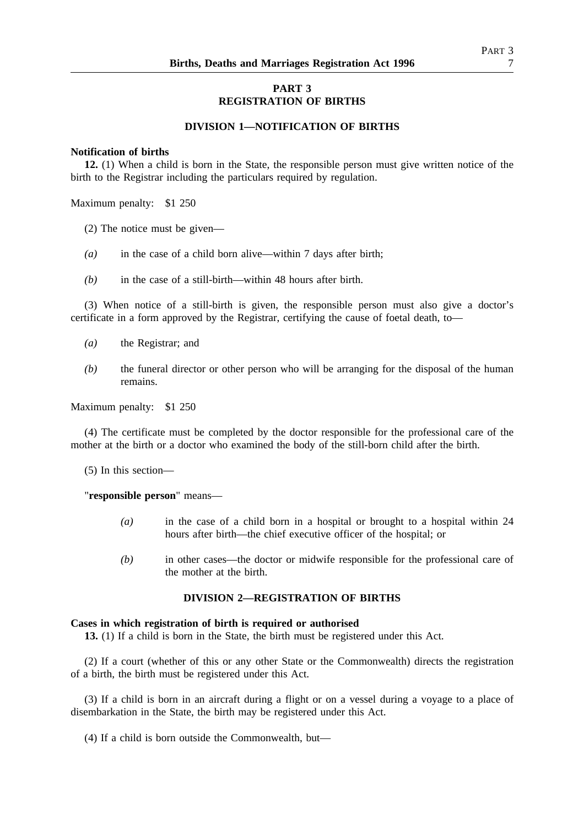## **PART 3 REGISTRATION OF BIRTHS**

### **DIVISION 1—NOTIFICATION OF BIRTHS**

### **Notification of births**

**12.** (1) When a child is born in the State, the responsible person must give written notice of the birth to the Registrar including the particulars required by regulation.

Maximum penalty: \$1 250

- (2) The notice must be given—
- *(a)* in the case of a child born alive—within 7 days after birth;
- *(b)* in the case of a still-birth—within 48 hours after birth.

(3) When notice of a still-birth is given, the responsible person must also give a doctor's certificate in a form approved by the Registrar, certifying the cause of foetal death, to—

- *(a)* the Registrar; and
- *(b)* the funeral director or other person who will be arranging for the disposal of the human remains.

Maximum penalty: \$1 250

(4) The certificate must be completed by the doctor responsible for the professional care of the mother at the birth or a doctor who examined the body of the still-born child after the birth.

(5) In this section—

"**responsible person**" means—

- *(a)* in the case of a child born in a hospital or brought to a hospital within 24 hours after birth—the chief executive officer of the hospital; or
- *(b)* in other cases—the doctor or midwife responsible for the professional care of the mother at the birth.

## **DIVISION 2—REGISTRATION OF BIRTHS**

### **Cases in which registration of birth is required or authorised**

**13.** (1) If a child is born in the State, the birth must be registered under this Act.

(2) If a court (whether of this or any other State or the Commonwealth) directs the registration of a birth, the birth must be registered under this Act.

(3) If a child is born in an aircraft during a flight or on a vessel during a voyage to a place of disembarkation in the State, the birth may be registered under this Act.

(4) If a child is born outside the Commonwealth, but—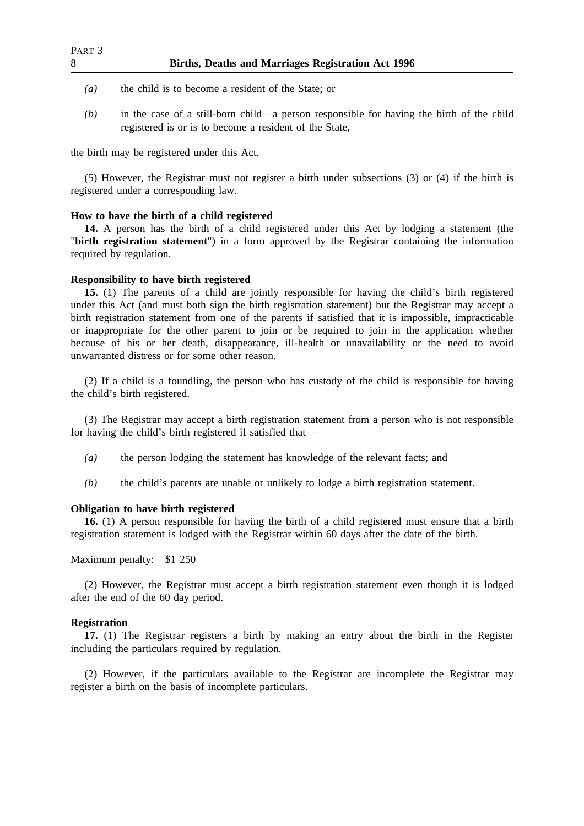- *(a)* the child is to become a resident of the State; or
- *(b)* in the case of a still-born child—a person responsible for having the birth of the child registered is or is to become a resident of the State,

the birth may be registered under this Act.

(5) However, the Registrar must not register a birth under subsections (3) or (4) if the birth is registered under a corresponding law.

## **How to have the birth of a child registered**

**14.** A person has the birth of a child registered under this Act by lodging a statement (the "**birth registration statement**") in a form approved by the Registrar containing the information required by regulation.

## **Responsibility to have birth registered**

**15.** (1) The parents of a child are jointly responsible for having the child's birth registered under this Act (and must both sign the birth registration statement) but the Registrar may accept a birth registration statement from one of the parents if satisfied that it is impossible, impracticable or inappropriate for the other parent to join or be required to join in the application whether because of his or her death, disappearance, ill-health or unavailability or the need to avoid unwarranted distress or for some other reason.

(2) If a child is a foundling, the person who has custody of the child is responsible for having the child's birth registered.

(3) The Registrar may accept a birth registration statement from a person who is not responsible for having the child's birth registered if satisfied that—

- *(a)* the person lodging the statement has knowledge of the relevant facts; and
- *(b)* the child's parents are unable or unlikely to lodge a birth registration statement.

## **Obligation to have birth registered**

**16.** (1) A person responsible for having the birth of a child registered must ensure that a birth registration statement is lodged with the Registrar within 60 days after the date of the birth.

## Maximum penalty: \$1 250

(2) However, the Registrar must accept a birth registration statement even though it is lodged after the end of the 60 day period.

## **Registration**

**17.** (1) The Registrar registers a birth by making an entry about the birth in the Register including the particulars required by regulation.

(2) However, if the particulars available to the Registrar are incomplete the Registrar may register a birth on the basis of incomplete particulars.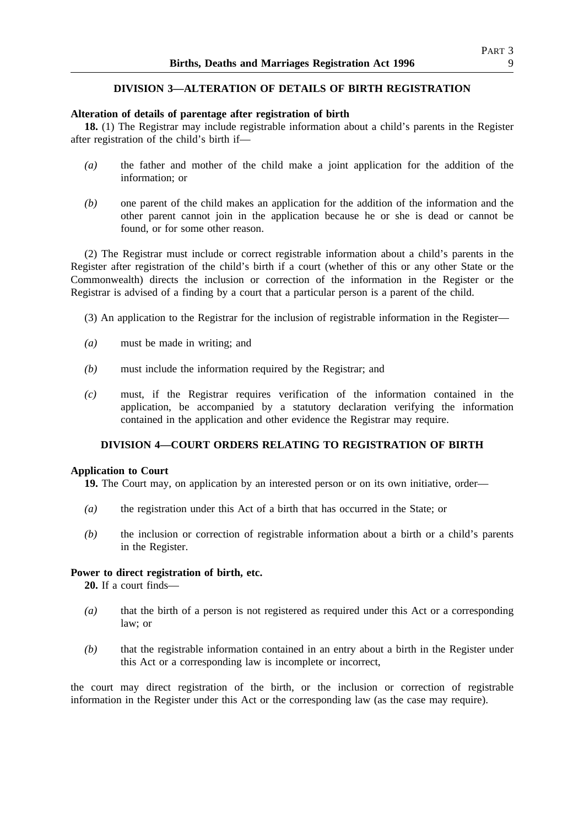## **DIVISION 3—ALTERATION OF DETAILS OF BIRTH REGISTRATION**

## **Alteration of details of parentage after registration of birth**

**18.** (1) The Registrar may include registrable information about a child's parents in the Register after registration of the child's birth if—

- *(a)* the father and mother of the child make a joint application for the addition of the information; or
- *(b)* one parent of the child makes an application for the addition of the information and the other parent cannot join in the application because he or she is dead or cannot be found, or for some other reason.

(2) The Registrar must include or correct registrable information about a child's parents in the Register after registration of the child's birth if a court (whether of this or any other State or the Commonwealth) directs the inclusion or correction of the information in the Register or the Registrar is advised of a finding by a court that a particular person is a parent of the child.

- (3) An application to the Registrar for the inclusion of registrable information in the Register—
- *(a)* must be made in writing; and
- *(b)* must include the information required by the Registrar; and
- *(c)* must, if the Registrar requires verification of the information contained in the application, be accompanied by a statutory declaration verifying the information contained in the application and other evidence the Registrar may require.

## **DIVISION 4—COURT ORDERS RELATING TO REGISTRATION OF BIRTH**

## **Application to Court**

**19.** The Court may, on application by an interested person or on its own initiative, order—

- *(a)* the registration under this Act of a birth that has occurred in the State; or
- *(b)* the inclusion or correction of registrable information about a birth or a child's parents in the Register.

## **Power to direct registration of birth, etc.**

**20.** If a court finds—

- *(a)* that the birth of a person is not registered as required under this Act or a corresponding law; or
- *(b)* that the registrable information contained in an entry about a birth in the Register under this Act or a corresponding law is incomplete or incorrect,

the court may direct registration of the birth, or the inclusion or correction of registrable information in the Register under this Act or the corresponding law (as the case may require).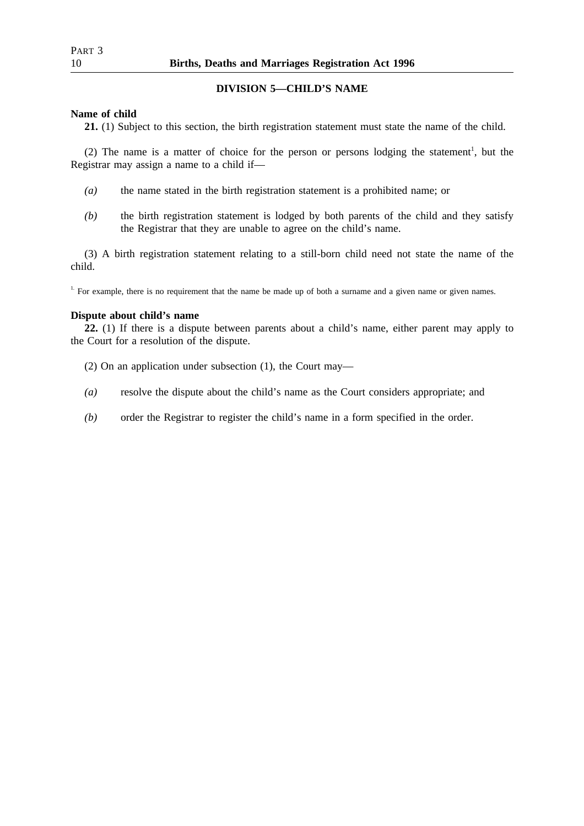## **DIVISION 5—CHILD'S NAME**

### **Name of child**

**21.** (1) Subject to this section, the birth registration statement must state the name of the child.

(2) The name is a matter of choice for the person or persons lodging the statement<sup>1</sup>, but the Registrar may assign a name to a child if—

- *(a)* the name stated in the birth registration statement is a prohibited name; or
- *(b)* the birth registration statement is lodged by both parents of the child and they satisfy the Registrar that they are unable to agree on the child's name.

(3) A birth registration statement relating to a still-born child need not state the name of the child.

 $1.$  For example, there is no requirement that the name be made up of both a surname and a given name or given names.

## **Dispute about child's name**

**22.** (1) If there is a dispute between parents about a child's name, either parent may apply to the Court for a resolution of the dispute.

- (2) On an application under subsection (1), the Court may—
- *(a)* resolve the dispute about the child's name as the Court considers appropriate; and
- *(b)* order the Registrar to register the child's name in a form specified in the order.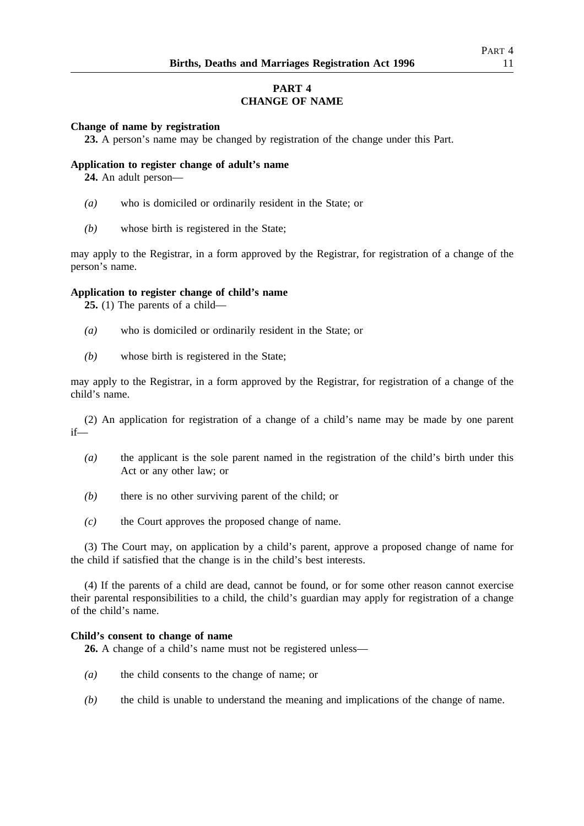# **PART 4 CHANGE OF NAME**

## **Change of name by registration**

**23.** A person's name may be changed by registration of the change under this Part.

## **Application to register change of adult's name**

**24.** An adult person—

- *(a)* who is domiciled or ordinarily resident in the State; or
- *(b)* whose birth is registered in the State;

may apply to the Registrar, in a form approved by the Registrar, for registration of a change of the person's name.

## **Application to register change of child's name**

**25.** (1) The parents of a child—

- *(a)* who is domiciled or ordinarily resident in the State; or
- *(b)* whose birth is registered in the State;

may apply to the Registrar, in a form approved by the Registrar, for registration of a change of the child's name.

(2) An application for registration of a change of a child's name may be made by one parent if—

- *(a)* the applicant is the sole parent named in the registration of the child's birth under this Act or any other law; or
- *(b)* there is no other surviving parent of the child; or
- *(c)* the Court approves the proposed change of name.

(3) The Court may, on application by a child's parent, approve a proposed change of name for the child if satisfied that the change is in the child's best interests.

(4) If the parents of a child are dead, cannot be found, or for some other reason cannot exercise their parental responsibilities to a child, the child's guardian may apply for registration of a change of the child's name.

## **Child's consent to change of name**

**26.** A change of a child's name must not be registered unless—

- *(a)* the child consents to the change of name; or
- *(b)* the child is unable to understand the meaning and implications of the change of name.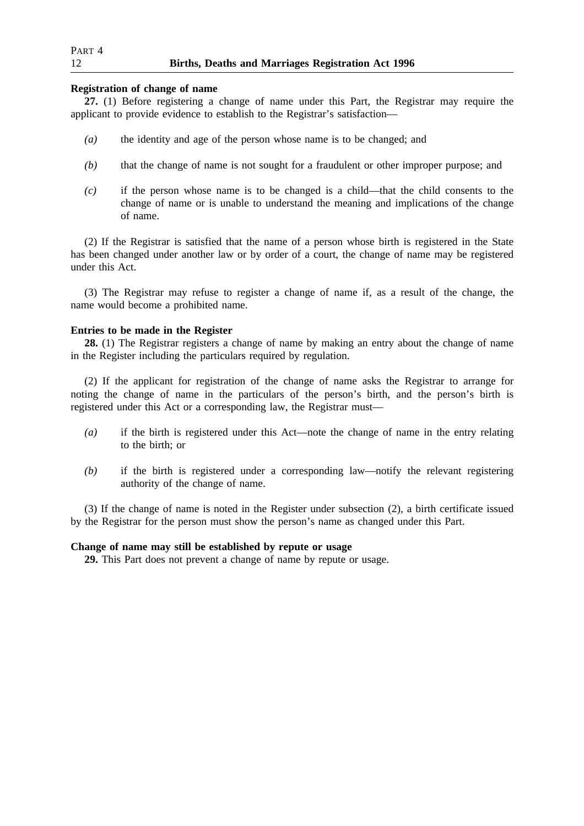| PART 4 |                                                    |  |
|--------|----------------------------------------------------|--|
| 12     | Births, Deaths and Marriages Registration Act 1996 |  |

## **Registration of change of name**

**27.** (1) Before registering a change of name under this Part, the Registrar may require the applicant to provide evidence to establish to the Registrar's satisfaction—

- *(a)* the identity and age of the person whose name is to be changed; and
- *(b)* that the change of name is not sought for a fraudulent or other improper purpose; and
- *(c)* if the person whose name is to be changed is a child—that the child consents to the change of name or is unable to understand the meaning and implications of the change of name.

(2) If the Registrar is satisfied that the name of a person whose birth is registered in the State has been changed under another law or by order of a court, the change of name may be registered under this Act.

(3) The Registrar may refuse to register a change of name if, as a result of the change, the name would become a prohibited name.

## **Entries to be made in the Register**

**28.** (1) The Registrar registers a change of name by making an entry about the change of name in the Register including the particulars required by regulation.

(2) If the applicant for registration of the change of name asks the Registrar to arrange for noting the change of name in the particulars of the person's birth, and the person's birth is registered under this Act or a corresponding law, the Registrar must—

- *(a)* if the birth is registered under this Act—note the change of name in the entry relating to the birth; or
- *(b)* if the birth is registered under a corresponding law—notify the relevant registering authority of the change of name.

(3) If the change of name is noted in the Register under subsection (2), a birth certificate issued by the Registrar for the person must show the person's name as changed under this Part.

## **Change of name may still be established by repute or usage**

**29.** This Part does not prevent a change of name by repute or usage.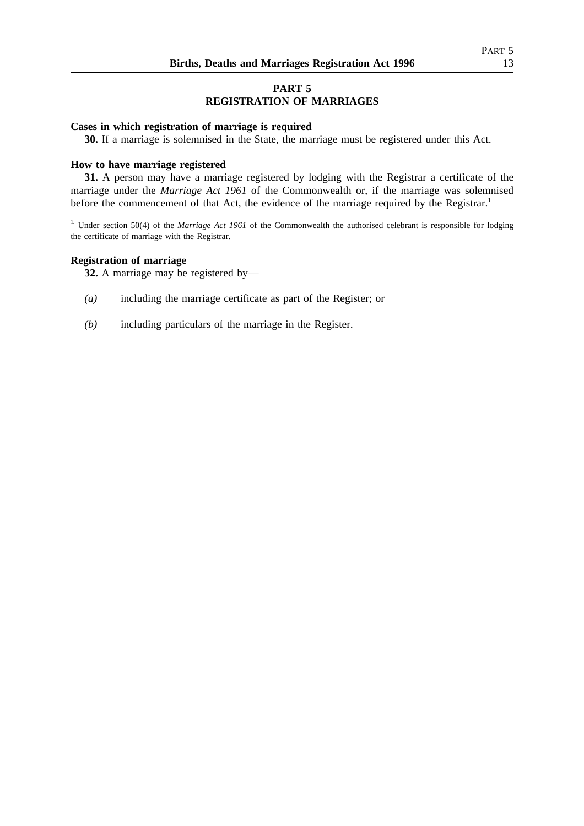# **PART 5 REGISTRATION OF MARRIAGES**

## **Cases in which registration of marriage is required**

**30.** If a marriage is solemnised in the State, the marriage must be registered under this Act.

### **How to have marriage registered**

**31.** A person may have a marriage registered by lodging with the Registrar a certificate of the marriage under the *Marriage Act 1961* of the Commonwealth or, if the marriage was solemnised before the commencement of that Act, the evidence of the marriage required by the Registrar.<sup>1</sup>

<sup>1.</sup> Under section 50(4) of the *Marriage Act 1961* of the Commonwealth the authorised celebrant is responsible for lodging the certificate of marriage with the Registrar.

### **Registration of marriage**

**32.** A marriage may be registered by—

- *(a)* including the marriage certificate as part of the Register; or
- *(b)* including particulars of the marriage in the Register.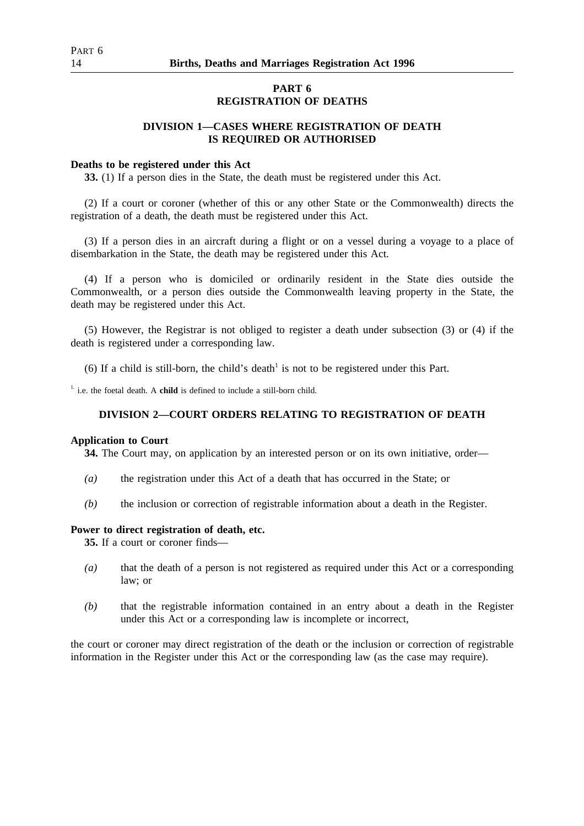## **PART 6 REGISTRATION OF DEATHS**

## **DIVISION 1—CASES WHERE REGISTRATION OF DEATH IS REQUIRED OR AUTHORISED**

### **Deaths to be registered under this Act**

**33.** (1) If a person dies in the State, the death must be registered under this Act.

(2) If a court or coroner (whether of this or any other State or the Commonwealth) directs the registration of a death, the death must be registered under this Act.

(3) If a person dies in an aircraft during a flight or on a vessel during a voyage to a place of disembarkation in the State, the death may be registered under this Act.

(4) If a person who is domiciled or ordinarily resident in the State dies outside the Commonwealth, or a person dies outside the Commonwealth leaving property in the State, the death may be registered under this Act.

(5) However, the Registrar is not obliged to register a death under subsection (3) or (4) if the death is registered under a corresponding law.

(6) If a child is still-born, the child's death<sup>1</sup> is not to be registered under this Part.

<sup>1.</sup> i.e. the foetal death. A **child** is defined to include a still-born child.

## **DIVISION 2—COURT ORDERS RELATING TO REGISTRATION OF DEATH**

#### **Application to Court**

**34.** The Court may, on application by an interested person or on its own initiative, order—

- *(a)* the registration under this Act of a death that has occurred in the State; or
- *(b)* the inclusion or correction of registrable information about a death in the Register.

### **Power to direct registration of death, etc.**

**35.** If a court or coroner finds—

- *(a)* that the death of a person is not registered as required under this Act or a corresponding law; or
- *(b)* that the registrable information contained in an entry about a death in the Register under this Act or a corresponding law is incomplete or incorrect,

the court or coroner may direct registration of the death or the inclusion or correction of registrable information in the Register under this Act or the corresponding law (as the case may require).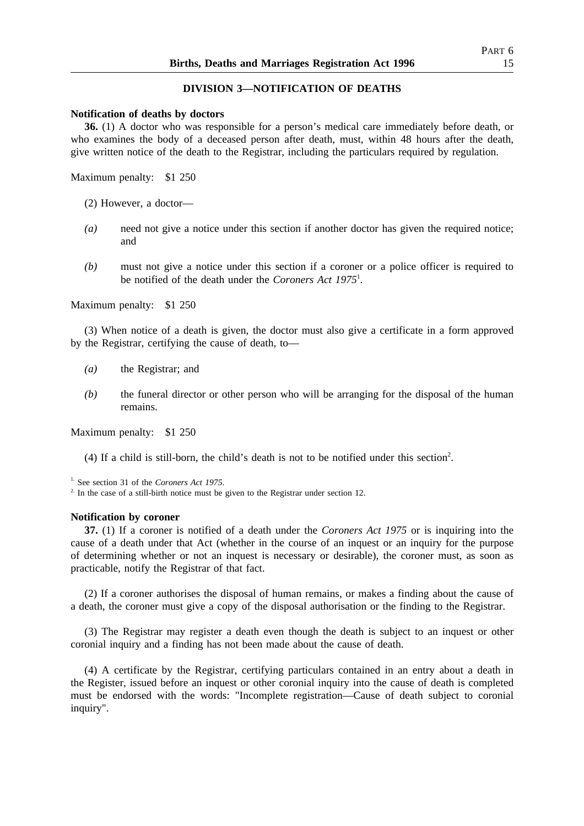## **DIVISION 3—NOTIFICATION OF DEATHS**

#### **Notification of deaths by doctors**

**36.** (1) A doctor who was responsible for a person's medical care immediately before death, or who examines the body of a deceased person after death, must, within 48 hours after the death, give written notice of the death to the Registrar, including the particulars required by regulation.

Maximum penalty: \$1 250

- (2) However, a doctor—
- *(a)* need not give a notice under this section if another doctor has given the required notice; and
- *(b)* must not give a notice under this section if a coroner or a police officer is required to be notified of the death under the *Coroners Act 1975*<sup>1</sup> .

Maximum penalty: \$1 250

(3) When notice of a death is given, the doctor must also give a certificate in a form approved by the Registrar, certifying the cause of death, to—

- *(a)* the Registrar; and
- *(b)* the funeral director or other person who will be arranging for the disposal of the human remains.

Maximum penalty: \$1 250

(4) If a child is still-born, the child's death is not to be notified under this section<sup>2</sup>.

1. See section 31 of the *Coroners Act 1975*.

<sup>2.</sup> In the case of a still-birth notice must be given to the Registrar under section 12.

#### **Notification by coroner**

**37.** (1) If a coroner is notified of a death under the *Coroners Act 1975* or is inquiring into the cause of a death under that Act (whether in the course of an inquest or an inquiry for the purpose of determining whether or not an inquest is necessary or desirable), the coroner must, as soon as practicable, notify the Registrar of that fact.

(2) If a coroner authorises the disposal of human remains, or makes a finding about the cause of a death, the coroner must give a copy of the disposal authorisation or the finding to the Registrar.

(3) The Registrar may register a death even though the death is subject to an inquest or other coronial inquiry and a finding has not been made about the cause of death.

(4) A certificate by the Registrar, certifying particulars contained in an entry about a death in the Register, issued before an inquest or other coronial inquiry into the cause of death is completed must be endorsed with the words: "Incomplete registration—Cause of death subject to coronial inquiry".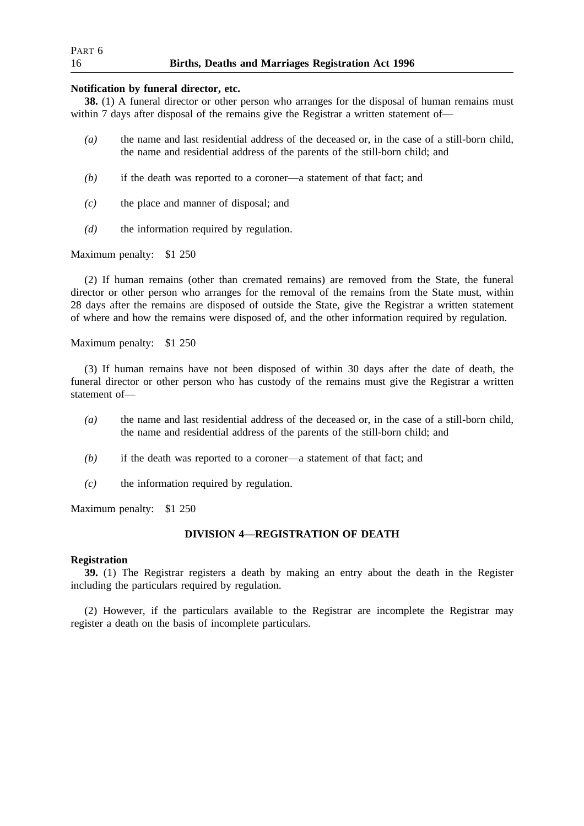| PART <sub>6</sub> |                                                    |  |
|-------------------|----------------------------------------------------|--|
| 16                | Births, Deaths and Marriages Registration Act 1996 |  |

### **Notification by funeral director, etc.**

**38.** (1) A funeral director or other person who arranges for the disposal of human remains must within 7 days after disposal of the remains give the Registrar a written statement of—

- *(a)* the name and last residential address of the deceased or, in the case of a still-born child, the name and residential address of the parents of the still-born child; and
- *(b)* if the death was reported to a coroner—a statement of that fact; and
- *(c)* the place and manner of disposal; and
- *(d)* the information required by regulation.

Maximum penalty: \$1 250

(2) If human remains (other than cremated remains) are removed from the State, the funeral director or other person who arranges for the removal of the remains from the State must, within 28 days after the remains are disposed of outside the State, give the Registrar a written statement of where and how the remains were disposed of, and the other information required by regulation.

Maximum penalty: \$1 250

(3) If human remains have not been disposed of within 30 days after the date of death, the funeral director or other person who has custody of the remains must give the Registrar a written statement of—

- *(a)* the name and last residential address of the deceased or, in the case of a still-born child, the name and residential address of the parents of the still-born child; and
- *(b)* if the death was reported to a coroner—a statement of that fact; and
- *(c)* the information required by regulation.

Maximum penalty: \$1 250

## **DIVISION 4—REGISTRATION OF DEATH**

## **Registration**

**39.** (1) The Registrar registers a death by making an entry about the death in the Register including the particulars required by regulation.

(2) However, if the particulars available to the Registrar are incomplete the Registrar may register a death on the basis of incomplete particulars.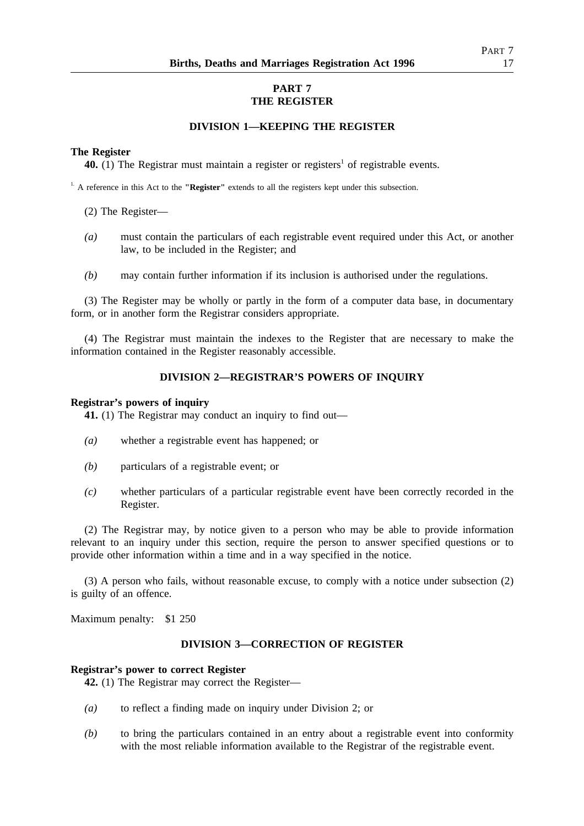# **PART 7 THE REGISTER**

## **DIVISION 1—KEEPING THE REGISTER**

### **The Register**

**40.** (1) The Registrar must maintain a register or registers<sup>1</sup> of registrable events.

1. A reference in this Act to the **"Register"** extends to all the registers kept under this subsection.

(2) The Register—

- *(a)* must contain the particulars of each registrable event required under this Act, or another law, to be included in the Register; and
- *(b)* may contain further information if its inclusion is authorised under the regulations.

(3) The Register may be wholly or partly in the form of a computer data base, in documentary form, or in another form the Registrar considers appropriate.

(4) The Registrar must maintain the indexes to the Register that are necessary to make the information contained in the Register reasonably accessible.

## **DIVISION 2—REGISTRAR'S POWERS OF INQUIRY**

### **Registrar's powers of inquiry**

**41.** (1) The Registrar may conduct an inquiry to find out—

- *(a)* whether a registrable event has happened; or
- *(b)* particulars of a registrable event; or
- *(c)* whether particulars of a particular registrable event have been correctly recorded in the Register.

(2) The Registrar may, by notice given to a person who may be able to provide information relevant to an inquiry under this section, require the person to answer specified questions or to provide other information within a time and in a way specified in the notice.

(3) A person who fails, without reasonable excuse, to comply with a notice under subsection (2) is guilty of an offence.

Maximum penalty: \$1 250

### **DIVISION 3—CORRECTION OF REGISTER**

### **Registrar's power to correct Register**

**42.** (1) The Registrar may correct the Register—

- *(a)* to reflect a finding made on inquiry under Division 2; or
- *(b)* to bring the particulars contained in an entry about a registrable event into conformity with the most reliable information available to the Registrar of the registrable event.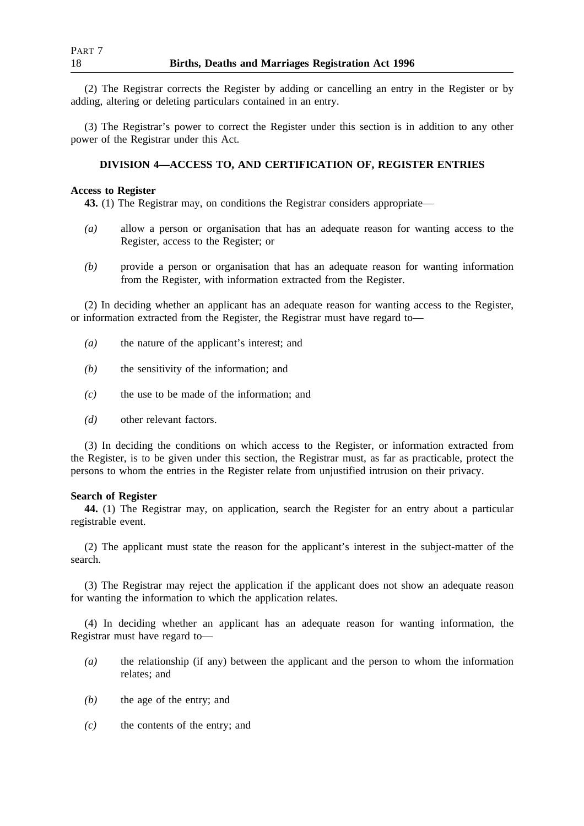(2) The Registrar corrects the Register by adding or cancelling an entry in the Register or by adding, altering or deleting particulars contained in an entry.

(3) The Registrar's power to correct the Register under this section is in addition to any other power of the Registrar under this Act.

### **DIVISION 4—ACCESS TO, AND CERTIFICATION OF, REGISTER ENTRIES**

## **Access to Register**

**43.** (1) The Registrar may, on conditions the Registrar considers appropriate—

- *(a)* allow a person or organisation that has an adequate reason for wanting access to the Register, access to the Register; or
- *(b)* provide a person or organisation that has an adequate reason for wanting information from the Register, with information extracted from the Register.

(2) In deciding whether an applicant has an adequate reason for wanting access to the Register, or information extracted from the Register, the Registrar must have regard to—

- *(a)* the nature of the applicant's interest; and
- *(b)* the sensitivity of the information; and
- *(c)* the use to be made of the information; and
- *(d)* other relevant factors.

(3) In deciding the conditions on which access to the Register, or information extracted from the Register, is to be given under this section, the Registrar must, as far as practicable, protect the persons to whom the entries in the Register relate from unjustified intrusion on their privacy.

### **Search of Register**

**44.** (1) The Registrar may, on application, search the Register for an entry about a particular registrable event.

(2) The applicant must state the reason for the applicant's interest in the subject-matter of the search.

(3) The Registrar may reject the application if the applicant does not show an adequate reason for wanting the information to which the application relates.

(4) In deciding whether an applicant has an adequate reason for wanting information, the Registrar must have regard to—

- *(a)* the relationship (if any) between the applicant and the person to whom the information relates; and
- *(b)* the age of the entry; and
- *(c)* the contents of the entry; and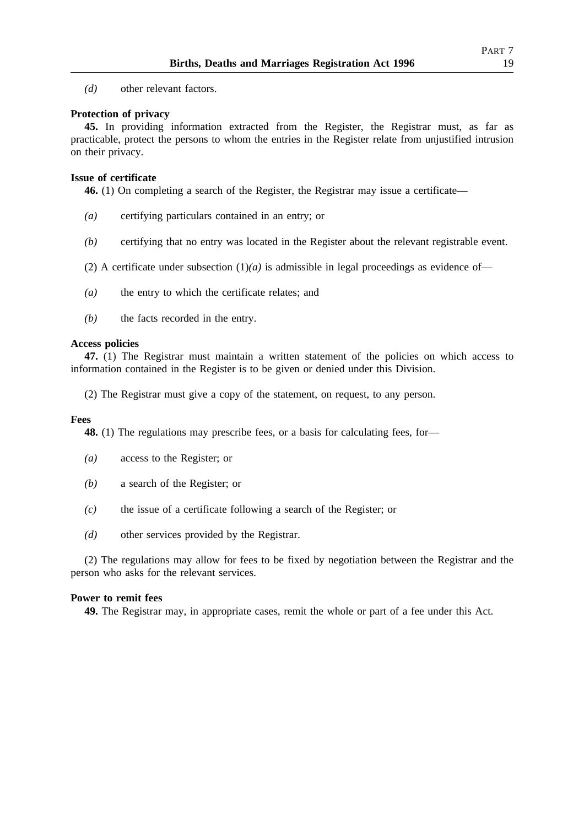## **Protection of privacy**

**45.** In providing information extracted from the Register, the Registrar must, as far as practicable, protect the persons to whom the entries in the Register relate from unjustified intrusion on their privacy.

## **Issue of certificate**

**46.** (1) On completing a search of the Register, the Registrar may issue a certificate—

- *(a)* certifying particulars contained in an entry; or
- *(b)* certifying that no entry was located in the Register about the relevant registrable event.
- (2) A certificate under subsection  $(1)(a)$  is admissible in legal proceedings as evidence of—
- *(a)* the entry to which the certificate relates; and
- *(b)* the facts recorded in the entry.

## **Access policies**

**47.** (1) The Registrar must maintain a written statement of the policies on which access to information contained in the Register is to be given or denied under this Division.

(2) The Registrar must give a copy of the statement, on request, to any person.

## **Fees**

**48.** (1) The regulations may prescribe fees, or a basis for calculating fees, for—

- *(a)* access to the Register; or
- *(b)* a search of the Register; or
- *(c)* the issue of a certificate following a search of the Register; or
- *(d)* other services provided by the Registrar.

(2) The regulations may allow for fees to be fixed by negotiation between the Registrar and the person who asks for the relevant services.

## **Power to remit fees**

**49.** The Registrar may, in appropriate cases, remit the whole or part of a fee under this Act.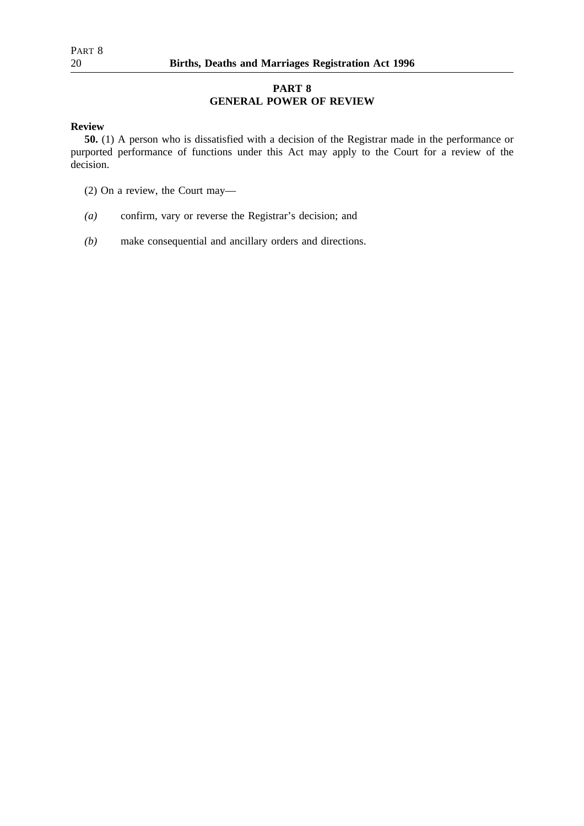# **PART 8 GENERAL POWER OF REVIEW**

## **Review**

**50.** (1) A person who is dissatisfied with a decision of the Registrar made in the performance or purported performance of functions under this Act may apply to the Court for a review of the decision.

- (2) On a review, the Court may—
- *(a)* confirm, vary or reverse the Registrar's decision; and
- *(b)* make consequential and ancillary orders and directions.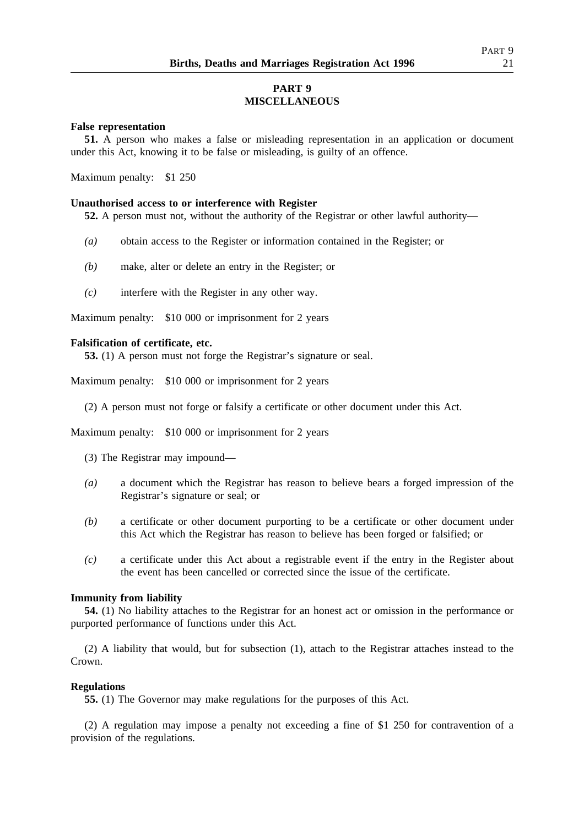# **PART 9 MISCELLANEOUS**

## **False representation**

**51.** A person who makes a false or misleading representation in an application or document under this Act, knowing it to be false or misleading, is guilty of an offence.

Maximum penalty: \$1 250

## **Unauthorised access to or interference with Register**

**52.** A person must not, without the authority of the Registrar or other lawful authority—

- *(a)* obtain access to the Register or information contained in the Register; or
- *(b)* make, alter or delete an entry in the Register; or
- *(c)* interfere with the Register in any other way.

Maximum penalty: \$10 000 or imprisonment for 2 years

## **Falsification of certificate, etc.**

**53.** (1) A person must not forge the Registrar's signature or seal.

Maximum penalty: \$10 000 or imprisonment for 2 years

(2) A person must not forge or falsify a certificate or other document under this Act.

Maximum penalty: \$10 000 or imprisonment for 2 years

- (3) The Registrar may impound—
- *(a)* a document which the Registrar has reason to believe bears a forged impression of the Registrar's signature or seal; or
- *(b)* a certificate or other document purporting to be a certificate or other document under this Act which the Registrar has reason to believe has been forged or falsified; or
- *(c)* a certificate under this Act about a registrable event if the entry in the Register about the event has been cancelled or corrected since the issue of the certificate.

## **Immunity from liability**

**54.** (1) No liability attaches to the Registrar for an honest act or omission in the performance or purported performance of functions under this Act.

(2) A liability that would, but for subsection (1), attach to the Registrar attaches instead to the Crown.

## **Regulations**

**55.** (1) The Governor may make regulations for the purposes of this Act.

(2) A regulation may impose a penalty not exceeding a fine of \$1 250 for contravention of a provision of the regulations.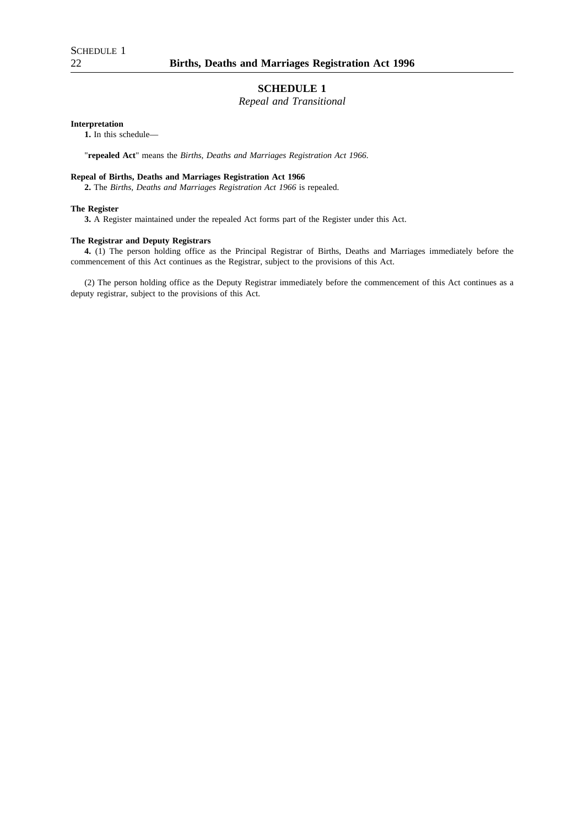## **SCHEDULE 1**

## *Repeal and Transitional*

#### **Interpretation**

**1.** In this schedule—

"**repealed Act**" means the *Births, Deaths and Marriages Registration Act 1966*.

### **Repeal of Births, Deaths and Marriages Registration Act 1966**

**2.** The *Births, Deaths and Marriages Registration Act 1966* is repealed.

#### **The Register**

**3.** A Register maintained under the repealed Act forms part of the Register under this Act.

#### **The Registrar and Deputy Registrars**

**4.** (1) The person holding office as the Principal Registrar of Births, Deaths and Marriages immediately before the commencement of this Act continues as the Registrar, subject to the provisions of this Act.

(2) The person holding office as the Deputy Registrar immediately before the commencement of this Act continues as a deputy registrar, subject to the provisions of this Act.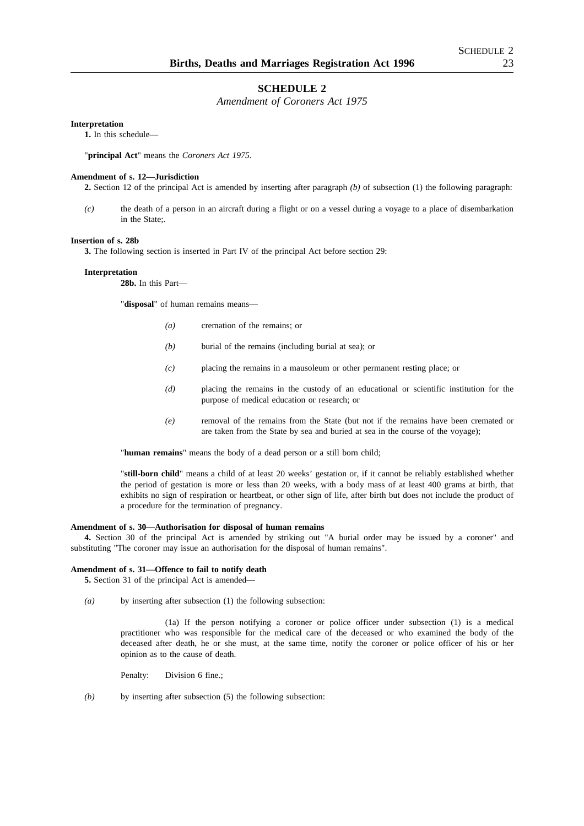## **SCHEDULE 2**

*Amendment of Coroners Act 1975*

#### **Interpretation**

**1.** In this schedule—

"**principal Act**" means the *Coroners Act 1975*.

#### **Amendment of s. 12—Jurisdiction**

**2.** Section 12 of the principal Act is amended by inserting after paragraph *(b)* of subsection (1) the following paragraph:

*(c)* the death of a person in an aircraft during a flight or on a vessel during a voyage to a place of disembarkation in the State;.

#### **Insertion of s. 28b**

**3.** The following section is inserted in Part IV of the principal Act before section 29:

## **Interpretation**

**28b.** In this Part—

"**disposal**" of human remains means—

- *(a)* cremation of the remains; or
- *(b)* burial of the remains (including burial at sea); or
- *(c)* placing the remains in a mausoleum or other permanent resting place; or
- *(d)* placing the remains in the custody of an educational or scientific institution for the purpose of medical education or research; or
- *(e)* removal of the remains from the State (but not if the remains have been cremated or are taken from the State by sea and buried at sea in the course of the voyage);

"**human remains**" means the body of a dead person or a still born child;

"**still-born child**" means a child of at least 20 weeks' gestation or, if it cannot be reliably established whether the period of gestation is more or less than 20 weeks, with a body mass of at least 400 grams at birth, that exhibits no sign of respiration or heartbeat, or other sign of life, after birth but does not include the product of a procedure for the termination of pregnancy.

#### **Amendment of s. 30—Authorisation for disposal of human remains**

**4.** Section 30 of the principal Act is amended by striking out "A burial order may be issued by a coroner" and substituting "The coroner may issue an authorisation for the disposal of human remains".

#### **Amendment of s. 31—Offence to fail to notify death**

**5.** Section 31 of the principal Act is amended—

*(a)* by inserting after subsection (1) the following subsection:

(1a) If the person notifying a coroner or police officer under subsection (1) is a medical practitioner who was responsible for the medical care of the deceased or who examined the body of the deceased after death, he or she must, at the same time, notify the coroner or police officer of his or her opinion as to the cause of death.

Penalty: Division 6 fine.;

*(b)* by inserting after subsection (5) the following subsection: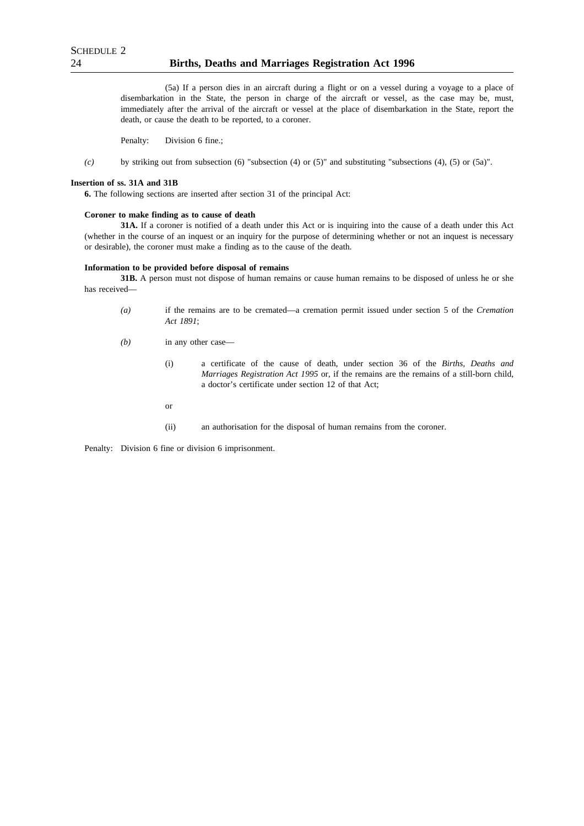(5a) If a person dies in an aircraft during a flight or on a vessel during a voyage to a place of disembarkation in the State, the person in charge of the aircraft or vessel, as the case may be, must, immediately after the arrival of the aircraft or vessel at the place of disembarkation in the State, report the death, or cause the death to be reported, to a coroner.

Penalty: Division 6 fine.;

*(c)* by striking out from subsection (6) "subsection (4) or (5)" and substituting "subsections (4), (5) or (5a)".

#### **Insertion of ss. 31A and 31B**

**6.** The following sections are inserted after section 31 of the principal Act:

#### **Coroner to make finding as to cause of death**

**31A.** If a coroner is notified of a death under this Act or is inquiring into the cause of a death under this Act (whether in the course of an inquest or an inquiry for the purpose of determining whether or not an inquest is necessary or desirable), the coroner must make a finding as to the cause of the death.

#### **Information to be provided before disposal of remains**

**31B.** A person must not dispose of human remains or cause human remains to be disposed of unless he or she has received—

- *(a)* if the remains are to be cremated—a cremation permit issued under section 5 of the *Cremation Act 1891*;
- *(b)* in any other case—
	- (i) a certificate of the cause of death, under section 36 of the *Births, Deaths and Marriages Registration Act 1995* or, if the remains are the remains of a still-born child, a doctor's certificate under section 12 of that Act;
	- or
	- (ii) an authorisation for the disposal of human remains from the coroner.

Penalty: Division 6 fine or division 6 imprisonment.